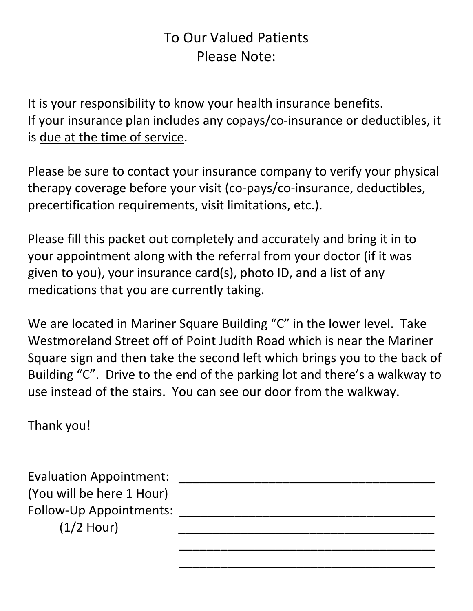### To Our Valued Patients Please Note:

It is your responsibility to know your health insurance benefits. If your insurance plan includes any copays/co-insurance or deductibles, it is due at the time of service.

Please be sure to contact your insurance company to verify your physical therapy coverage before your visit (co-pays/co-insurance, deductibles, precertification requirements, visit limitations, etc.).

Please fill this packet out completely and accurately and bring it in to your appointment along with the referral from your doctor (if it was given to you), your insurance card(s), photo ID, and a list of any medications that you are currently taking.

We are located in Mariner Square Building "C" in the lower level. Take Westmoreland Street off of Point Judith Road which is near the Mariner Square sign and then take the second left which brings you to the back of Building "C". Drive to the end of the parking lot and there's a walkway to use instead of the stairs. You can see our door from the walkway.

 $\overline{\phantom{a}}$  , and the contract of the contract of the contract of the contract of the contract of the contract of the contract of the contract of the contract of the contract of the contract of the contract of the contrac

 $\overline{\phantom{a}}$  , and the contract of the contract of the contract of the contract of the contract of the contract of the contract of the contract of the contract of the contract of the contract of the contract of the contrac

Thank you!

Evaluation Appointment: (You will be here 1 Hour) Follow-Up Appointments:  $(1/2$  Hour)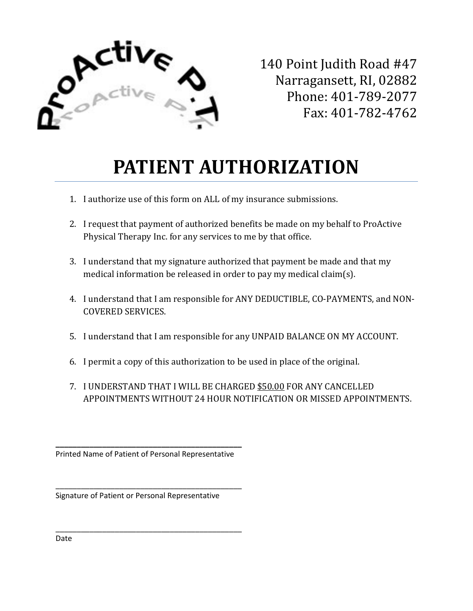

140 Point Judith Road #47 Narragansett, RI, 02882 Phone: 401-789-2077 Fax: 401-782-4762

# **PATIENT AUTHORIZATION**

- 1. I authorize use of this form on ALL of my insurance submissions.
- 2. I request that payment of authorized benefits be made on my behalf to ProActive Physical Therapy Inc. for any services to me by that office.
- 3. I understand that my signature authorized that payment be made and that my medical information be released in order to pay my medical claim(s).
- 4. I understand that I am responsible for ANY DEDUCTIBLE, CO-PAYMENTS, and NON-COVERED SERVICES.
- 5. I understand that I am responsible for any UNPAID BALANCE ON MY ACCOUNT.
- 6. I permit a copy of this authorization to be used in place of the original.
- 7. I UNDERSTAND THAT I WILL BE CHARGED \$50.00 FOR ANY CANCELLED APPOINTMENTS WITHOUT 24 HOUR NOTIFICATION OR MISSED APPOINTMENTS.

**\_\_\_\_\_\_\_\_\_\_\_\_\_\_\_\_\_\_\_\_\_\_\_\_\_\_\_\_\_\_\_\_\_\_\_\_\_\_\_\_\_\_\_\_** Printed Name of Patient of Personal Representative

\_\_\_\_\_\_\_\_\_\_\_\_\_\_\_\_\_\_\_\_\_\_\_\_\_\_\_\_\_\_\_\_\_\_\_\_\_\_\_\_\_\_\_\_

\_\_\_\_\_\_\_\_\_\_\_\_\_\_\_\_\_\_\_\_\_\_\_\_\_\_\_\_\_\_\_\_\_\_\_\_\_\_\_\_\_\_\_\_

Signature of Patient or Personal Representative

Date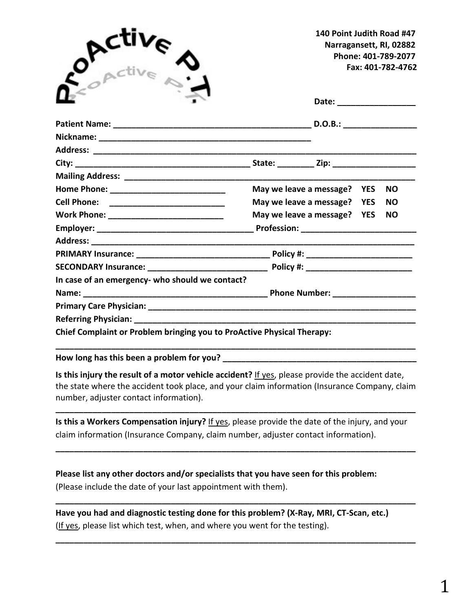| $e^{\rho c t i \omega}$                                                |                             | 140 Point Judith Road #47<br>Narragansett, RI, 02882<br>Phone: 401-789-2077<br>Fax: 401-782-4762 |  |           |
|------------------------------------------------------------------------|-----------------------------|--------------------------------------------------------------------------------------------------|--|-----------|
|                                                                        |                             |                                                                                                  |  |           |
|                                                                        |                             |                                                                                                  |  |           |
|                                                                        |                             |                                                                                                  |  |           |
|                                                                        |                             |                                                                                                  |  |           |
|                                                                        |                             |                                                                                                  |  |           |
|                                                                        |                             |                                                                                                  |  |           |
|                                                                        | May we leave a message? YES |                                                                                                  |  | <b>NO</b> |
|                                                                        | May we leave a message? YES |                                                                                                  |  | <b>NO</b> |
|                                                                        | May we leave a message? YES |                                                                                                  |  | <b>NO</b> |
|                                                                        |                             |                                                                                                  |  |           |
|                                                                        |                             |                                                                                                  |  |           |
|                                                                        |                             |                                                                                                  |  |           |
|                                                                        |                             |                                                                                                  |  |           |
| In case of an emergency- who should we contact?                        |                             |                                                                                                  |  |           |
|                                                                        |                             |                                                                                                  |  |           |
|                                                                        |                             |                                                                                                  |  |           |
|                                                                        |                             |                                                                                                  |  |           |
| Chief Complaint or Problem bringing you to ProActive Physical Therapy: |                             |                                                                                                  |  |           |

**How long has this been a problem for you? \_\_\_\_\_\_\_\_\_\_\_\_\_\_\_\_\_\_\_\_\_\_\_\_\_\_\_\_\_\_\_\_\_\_\_\_\_\_\_\_\_\_**

**Is this injury the result of a motor vehicle accident?** If yes, please provide the accident date, the state where the accident took place, and your claim information (Insurance Company, claim number, adjuster contact information).

**\_\_\_\_\_\_\_\_\_\_\_\_\_\_\_\_\_\_\_\_\_\_\_\_\_\_\_\_\_\_\_\_\_\_\_\_\_\_\_\_\_\_\_\_\_\_\_\_\_\_\_\_\_\_\_\_\_\_\_\_\_\_\_\_\_\_\_\_\_\_\_\_\_\_\_\_\_\_** 

**Is this a Workers Compensation injury?** If yes, please provide the date of the injury, and your claim information (Insurance Company, claim number, adjuster contact information).

**\_\_\_\_\_\_\_\_\_\_\_\_\_\_\_\_\_\_\_\_\_\_\_\_\_\_\_\_\_\_\_\_\_\_\_\_\_\_\_\_\_\_\_\_\_\_\_\_\_\_\_\_\_\_\_\_\_\_\_\_\_\_\_\_\_\_\_\_\_\_\_\_\_\_\_\_\_\_**

**\_\_\_\_\_\_\_\_\_\_\_\_\_\_\_\_\_\_\_\_\_\_\_\_\_\_\_\_\_\_\_\_\_\_\_\_\_\_\_\_\_\_\_\_\_\_\_\_\_\_\_\_\_\_\_\_\_\_\_\_\_\_\_\_\_\_\_\_\_\_\_\_\_\_\_\_\_\_**

**\_\_\_\_\_\_\_\_\_\_\_\_\_\_\_\_\_\_\_\_\_\_\_\_\_\_\_\_\_\_\_\_\_\_\_\_\_\_\_\_\_\_\_\_\_\_\_\_\_\_\_\_\_\_\_\_\_\_\_\_\_\_\_\_\_\_\_\_\_\_\_\_\_\_\_\_\_\_**

**Please list any other doctors and/or specialists that you have seen for this problem:** (Please include the date of your last appointment with them).

**Have you had and diagnostic testing done for this problem? (X-Ray, MRI, CT-Scan, etc.)** (If yes, please list which test, when, and where you went for the testing).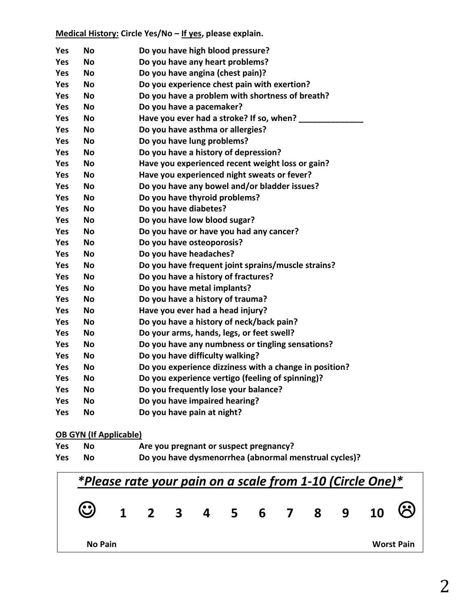### **Medical History: Circle Yes/No – If yes, please explain.**

| <b>Yes</b> | Νo        | Do you have high blood pressure?                       |
|------------|-----------|--------------------------------------------------------|
| <b>Yes</b> | Nο        | Do you have any heart problems?                        |
| <b>Yes</b> | Nο        | Do you have angina (chest pain)?                       |
| <b>Yes</b> | <b>No</b> | Do you experience chest pain with exertion?            |
| <b>Yes</b> | <b>No</b> | Do you have a problem with shortness of breath?        |
| <b>Yes</b> | <b>No</b> | Do you have a pacemaker?                               |
| <b>Yes</b> | <b>No</b> | Have you ever had a stroke? If so, when?               |
| <b>Yes</b> | <b>No</b> | Do you have asthma or allergies?                       |
| Yes        | <b>No</b> | Do you have lung problems?                             |
| <b>Yes</b> | <b>No</b> | Do you have a history of depression?                   |
| <b>Yes</b> | <b>No</b> | Have you experienced recent weight loss or gain?       |
| <b>Yes</b> | <b>No</b> | Have you experienced night sweats or fever?            |
| Yes        | <b>No</b> | Do you have any bowel and/or bladder issues?           |
| <b>Yes</b> | <b>No</b> | Do you have thyroid problems?                          |
| <b>Yes</b> | <b>No</b> | Do you have diabetes?                                  |
| <b>Yes</b> | <b>No</b> | Do you have low blood sugar?                           |
| Yes        | <b>No</b> | Do you have or have you had any cancer?                |
| <b>Yes</b> | <b>No</b> | Do you have osteoporosis?                              |
| Yes        | <b>No</b> | Do you have headaches?                                 |
| <b>Yes</b> | <b>No</b> | Do you have frequent joint sprains/muscle strains?     |
| Yes        | <b>No</b> | Do you have a history of fractures?                    |
| <b>Yes</b> | <b>No</b> | Do you have metal implants?                            |
| <b>Yes</b> | <b>No</b> | Do you have a history of trauma?                       |
| Yes        | <b>No</b> | Have you ever had a head injury?                       |
| <b>Yes</b> | <b>No</b> | Do you have a history of neck/back pain?               |
| <b>Yes</b> | <b>No</b> | Do your arms, hands, legs, or feet swell?              |
| Yes        | <b>No</b> | Do you have any numbness or tingling sensations?       |
| <b>Yes</b> | <b>No</b> | Do you have difficulty walking?                        |
| <b>Yes</b> | <b>No</b> | Do you experience dizziness with a change in position? |
| <b>Yes</b> | <b>No</b> | Do you experience vertigo (feeling of spinning)?       |
| <b>Yes</b> | <b>No</b> | Do you frequently lose your balance?                   |
| <b>Yes</b> | <b>No</b> | Do you have impaired hearing?                          |
| <b>Yes</b> | <b>No</b> | Do you have pain at night?                             |

### **OB GYN (If Applicable)**

| Yes | Nο | Are you pregnant or suspect pregnancy?                |
|-----|----|-------------------------------------------------------|
| Yes | Nο | Do you have dysmenorrhea (abnormal menstrual cycles)? |

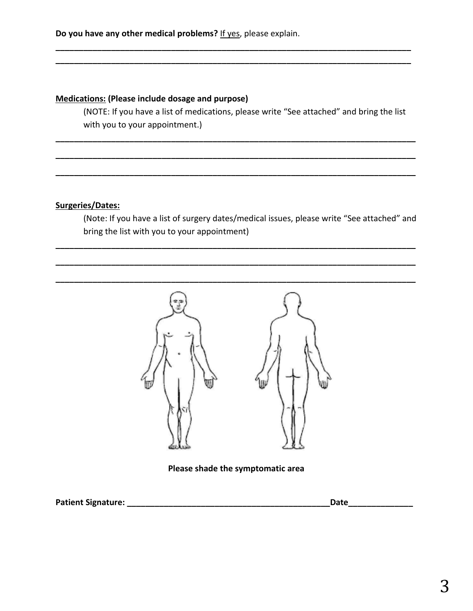### **Medications: (Please include dosage and purpose)**

(NOTE: If you have a list of medications, please write "See attached" and bring the list with you to your appointment.)

**\_\_\_\_\_\_\_\_\_\_\_\_\_\_\_\_\_\_\_\_\_\_\_\_\_\_\_\_\_\_\_\_\_\_\_\_\_\_\_\_\_\_\_\_\_\_\_\_\_\_\_\_\_\_\_\_\_\_\_\_\_\_\_\_\_\_\_\_\_\_\_\_\_\_\_\_\_\_**

**\_\_\_\_\_\_\_\_\_\_\_\_\_\_\_\_\_\_\_\_\_\_\_\_\_\_\_\_\_\_\_\_\_\_\_\_\_\_\_\_\_\_\_\_\_\_\_\_\_\_\_\_\_\_\_\_\_\_\_\_\_\_\_\_\_\_\_\_\_\_\_\_\_\_\_\_\_\_**

**\_\_\_\_\_\_\_\_\_\_\_\_\_\_\_\_\_\_\_\_\_\_\_\_\_\_\_\_\_\_\_\_\_\_\_\_\_\_\_\_\_\_\_\_\_\_\_\_\_\_\_\_\_\_\_\_\_\_\_\_\_\_\_\_\_\_\_\_\_\_\_\_\_\_\_\_\_\_**

**\_\_\_\_\_\_\_\_\_\_\_\_\_\_\_\_\_\_\_\_\_\_\_\_\_\_\_\_\_\_\_\_\_\_\_\_\_\_\_\_\_\_\_\_\_\_\_\_\_\_\_\_\_\_\_\_\_\_\_\_\_\_\_\_\_\_\_\_\_\_\_\_\_\_\_\_\_\_**

**\_\_\_\_\_\_\_\_\_\_\_\_\_\_\_\_\_\_\_\_\_\_\_\_\_\_\_\_\_\_\_\_\_\_\_\_\_\_\_\_\_\_\_\_\_\_\_\_\_\_\_\_\_\_\_\_\_\_\_\_\_\_\_\_\_\_\_\_\_\_\_\_\_\_\_\_\_ \_\_\_\_\_\_\_\_\_\_\_\_\_\_\_\_\_\_\_\_\_\_\_\_\_\_\_\_\_\_\_\_\_\_\_\_\_\_\_\_\_\_\_\_\_\_\_\_\_\_\_\_\_\_\_\_\_\_\_\_\_\_\_\_\_\_\_\_\_\_\_\_\_\_\_\_\_**

### **Surgeries/Dates:**

(Note: If you have a list of surgery dates/medical issues, please write "See attached" and bring the list with you to your appointment)

**\_\_\_\_\_\_\_\_\_\_\_\_\_\_\_\_\_\_\_\_\_\_\_\_\_\_\_\_\_\_\_\_\_\_\_\_\_\_\_\_\_\_\_\_\_\_\_\_\_\_\_\_\_\_\_\_\_\_\_\_\_\_\_\_\_\_\_\_\_\_\_\_\_\_\_\_\_\_**



**Please shade the symptomatic area**

**Patient Signature: \_\_\_\_\_\_\_\_\_\_\_\_\_\_\_\_\_\_\_\_\_\_\_\_\_\_\_\_\_\_\_\_\_\_\_\_\_\_\_\_\_\_\_\_Date\_\_\_\_\_\_\_\_\_\_\_\_\_\_**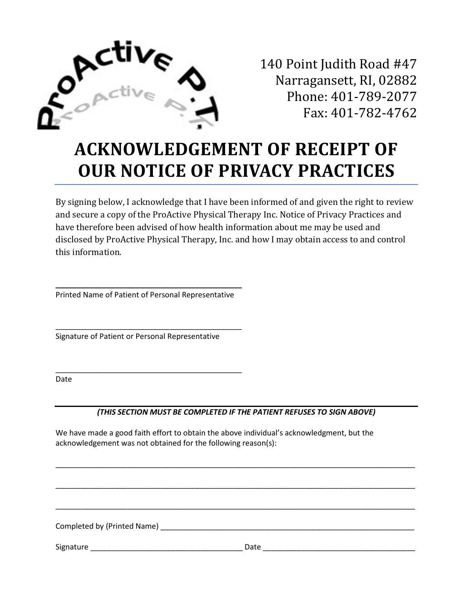

140 Point Judith Road #47 Narragansett, RI, 02882 Phone: 401-789-2077 Fax: 401-782-4762

## **ACKNOWLEDGEMENT OF RECEIPT OF OUR NOTICE OF PRIVACY PRACTICES**

By signing below, I acknowledge that I have been informed of and given the right to review and secure a copy of the ProActive Physical Therapy Inc. Notice of Privacy Practices and have therefore been advised of how health information about me may be used and disclosed by ProActive Physical Therapy, Inc. and how I may obtain access to and control this information.

**\_\_\_\_\_\_\_\_\_\_\_\_\_\_\_\_\_\_\_\_\_\_\_\_\_\_\_\_\_\_\_\_\_\_\_\_\_\_\_\_\_\_\_\_** Printed Name of Patient of Personal Representative

\_\_\_\_\_\_\_\_\_\_\_\_\_\_\_\_\_\_\_\_\_\_\_\_\_\_\_\_\_\_\_\_\_\_\_\_\_\_\_\_\_\_\_\_

\_\_\_\_\_\_\_\_\_\_\_\_\_\_\_\_\_\_\_\_\_\_\_\_\_\_\_\_\_\_\_\_\_\_\_\_\_\_\_\_\_\_\_\_

Signature of Patient or Personal Representative

Date

### *(THIS SECTION MUST BE COMPLETED IF THE PATIENT REFUSES TO SIGN ABOVE)*

\_\_\_\_\_\_\_\_\_\_\_\_\_\_\_\_\_\_\_\_\_\_\_\_\_\_\_\_\_\_\_\_\_\_\_\_\_\_\_\_\_\_\_\_\_\_\_\_\_\_\_\_\_\_\_\_\_\_\_\_\_\_\_\_\_\_\_\_\_\_\_\_\_\_\_\_\_\_\_\_\_\_\_\_\_

\_\_\_\_\_\_\_\_\_\_\_\_\_\_\_\_\_\_\_\_\_\_\_\_\_\_\_\_\_\_\_\_\_\_\_\_\_\_\_\_\_\_\_\_\_\_\_\_\_\_\_\_\_\_\_\_\_\_\_\_\_\_\_\_\_\_\_\_\_\_\_\_\_\_\_\_\_\_\_\_\_\_\_\_\_

\_\_\_\_\_\_\_\_\_\_\_\_\_\_\_\_\_\_\_\_\_\_\_\_\_\_\_\_\_\_\_\_\_\_\_\_\_\_\_\_\_\_\_\_\_\_\_\_\_\_\_\_\_\_\_\_\_\_\_\_\_\_\_\_\_\_\_\_\_\_\_\_\_\_\_\_\_\_\_\_\_\_\_\_\_

We have made a good faith effort to obtain the above individual's acknowledgment, but the acknowledgement was not obtained for the following reason(s):

Completed by (Printed Name) \_\_\_\_\_\_\_\_\_\_\_\_\_\_\_\_\_\_\_\_\_\_\_\_\_\_\_\_\_\_\_\_\_\_\_\_\_\_\_\_\_\_\_\_\_\_\_\_\_\_\_\_\_\_\_\_\_\_\_\_

Signature \_\_\_\_\_\_\_\_\_\_\_\_\_\_\_\_\_\_\_\_\_\_\_\_\_\_\_\_\_\_\_\_\_\_\_\_ Date \_\_\_\_\_\_\_\_\_\_\_\_\_\_\_\_\_\_\_\_\_\_\_\_\_\_\_\_\_\_\_\_\_\_\_\_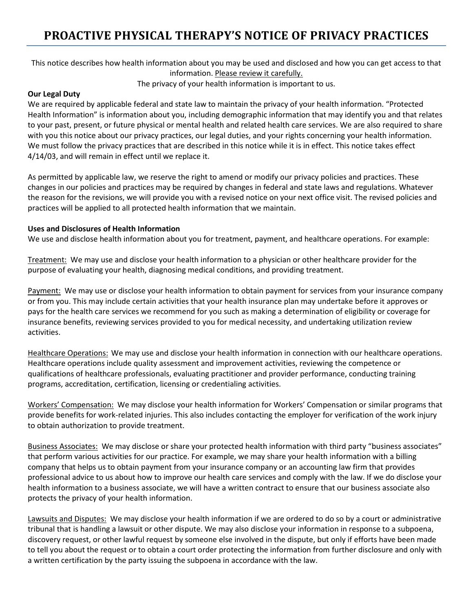### **PROACTIVE PHYSICAL THERAPY'S NOTICE OF PRIVACY PRACTICES**

This notice describes how health information about you may be used and disclosed and how you can get access to that information. Please review it carefully.

The privacy of your health information is important to us.

### **Our Legal Duty**

We are required by applicable federal and state law to maintain the privacy of your health information. "Protected Health Information" is information about you, including demographic information that may identify you and that relates to your past, present, or future physical or mental health and related health care services. We are also required to share with you this notice about our privacy practices, our legal duties, and your rights concerning your health information. We must follow the privacy practices that are described in this notice while it is in effect. This notice takes effect 4/14/03, and will remain in effect until we replace it.

As permitted by applicable law, we reserve the right to amend or modify our privacy policies and practices. These changes in our policies and practices may be required by changes in federal and state laws and regulations. Whatever the reason for the revisions, we will provide you with a revised notice on your next office visit. The revised policies and practices will be applied to all protected health information that we maintain.

### **Uses and Disclosures of Health Information**

We use and disclose health information about you for treatment, payment, and healthcare operations. For example:

Treatment: We may use and disclose your health information to a physician or other healthcare provider for the purpose of evaluating your health, diagnosing medical conditions, and providing treatment.

Payment: We may use or disclose your health information to obtain payment for services from your insurance company or from you. This may include certain activities that your health insurance plan may undertake before it approves or pays for the health care services we recommend for you such as making a determination of eligibility or coverage for insurance benefits, reviewing services provided to you for medical necessity, and undertaking utilization review activities.

Healthcare Operations: We may use and disclose your health information in connection with our healthcare operations. Healthcare operations include quality assessment and improvement activities, reviewing the competence or qualifications of healthcare professionals, evaluating practitioner and provider performance, conducting training programs, accreditation, certification, licensing or credentialing activities.

Workers' Compensation: We may disclose your health information for Workers' Compensation or similar programs that provide benefits for work-related injuries. This also includes contacting the employer for verification of the work injury to obtain authorization to provide treatment.

Business Associates: We may disclose or share your protected health information with third party "business associates" that perform various activities for our practice. For example, we may share your health information with a billing company that helps us to obtain payment from your insurance company or an accounting law firm that provides professional advice to us about how to improve our health care services and comply with the law. If we do disclose your health information to a business associate, we will have a written contract to ensure that our business associate also protects the privacy of your health information.

Lawsuits and Disputes: We may disclose your health information if we are ordered to do so by a court or administrative tribunal that is handling a lawsuit or other dispute. We may also disclose your information in response to a subpoena, discovery request, or other lawful request by someone else involved in the dispute, but only if efforts have been made to tell you about the request or to obtain a court order protecting the information from further disclosure and only with a written certification by the party issuing the subpoena in accordance with the law.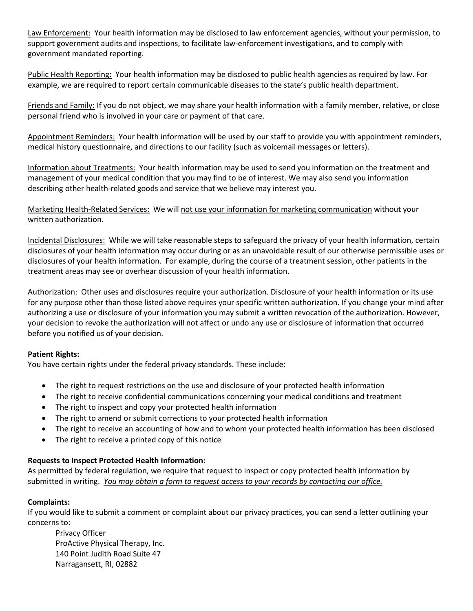Law Enforcement: Your health information may be disclosed to law enforcement agencies, without your permission, to support government audits and inspections, to facilitate law-enforcement investigations, and to comply with government mandated reporting.

Public Health Reporting: Your health information may be disclosed to public health agencies as required by law. For example, we are required to report certain communicable diseases to the state's public health department.

Friends and Family: If you do not object, we may share your health information with a family member, relative, or close personal friend who is involved in your care or payment of that care.

Appointment Reminders: Your health information will be used by our staff to provide you with appointment reminders, medical history questionnaire, and directions to our facility (such as voicemail messages or letters).

Information about Treatments: Your health information may be used to send you information on the treatment and management of your medical condition that you may find to be of interest. We may also send you information describing other health-related goods and service that we believe may interest you.

Marketing Health-Related Services: We will not use your information for marketing communication without your written authorization.

Incidental Disclosures: While we will take reasonable steps to safeguard the privacy of your health information, certain disclosures of your health information may occur during or as an unavoidable result of our otherwise permissible uses or disclosures of your health information. For example, during the course of a treatment session, other patients in the treatment areas may see or overhear discussion of your health information.

Authorization: Other uses and disclosures require your authorization. Disclosure of your health information or its use for any purpose other than those listed above requires your specific written authorization. If you change your mind after authorizing a use or disclosure of your information you may submit a written revocation of the authorization. However, your decision to revoke the authorization will not affect or undo any use or disclosure of information that occurred before you notified us of your decision.

### **Patient Rights:**

You have certain rights under the federal privacy standards. These include:

- The right to request restrictions on the use and disclosure of your protected health information
- The right to receive confidential communications concerning your medical conditions and treatment
- The right to inspect and copy your protected health information
- The right to amend or submit corrections to your protected health information
- The right to receive an accounting of how and to whom your protected health information has been disclosed
- The right to receive a printed copy of this notice

### **Requests to Inspect Protected Health Information:**

As permitted by federal regulation, we require that request to inspect or copy protected health information by submitted in writing. *You may obtain a form to request access to your records by contacting our office.*

### **Complaints:**

If you would like to submit a comment or complaint about our privacy practices, you can send a letter outlining your concerns to:

Privacy Officer ProActive Physical Therapy, Inc. 140 Point Judith Road Suite 47 Narragansett, RI, 02882